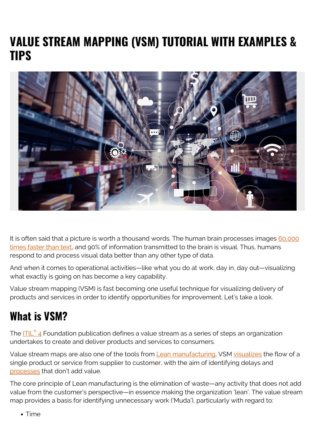# **VALUE STREAM MAPPING (VSM) TUTORIAL WITH EXAMPLES & TIPS**



It is often said that a picture is worth a thousand words. The human brain processes images [60,000](https://www.t-sciences.com/news/humans-process-visual-data-better) [times faster than text,](https://www.t-sciences.com/news/humans-process-visual-data-better) and 90% of information transmitted to the brain is visual. Thus, humans respond to and process visual data better than any other type of data.

And when it comes to operational activities—like what you do at work, day in, day out—visualizing what exactly is going on has become a key capability.

Value stream mapping (VSM) is fast becoming one useful technique for visualizing delivery of products and services in order to identify opportunities for improvement. Let's take a look.

# **What is VSM?**

The [ITIL](https://blogs.bmc.com/blogs/itil-4/)[®](https://blogs.bmc.com/blogs/itil-4/) [4](https://blogs.bmc.com/blogs/itil-4/) Foundation publication defines a value stream as a series of steps an organization undertakes to create and deliver products and services to consumers.

Value stream maps are also one of the tools from [Lean manufacturing](https://blogs.bmc.com/blogs/lean-startup-enterprise/). VSM [visualizes](https://leanmanufacturingtools.org/549/vsm-value-stream-mapping/) the flow of a single product or service from supplier to customer, with the aim of identifying delays and [processes](https://www.bmc.com/blogs/practice-vs-process/) that don't add value.

The core principle of Lean manufacturing is the elimination of waste—any activity that does not add value from the customer's perspective—in essence making the organization 'lean'. The value stream map provides a basis for identifying unnecessary work ('Muda'), particularly with regard to:

• Time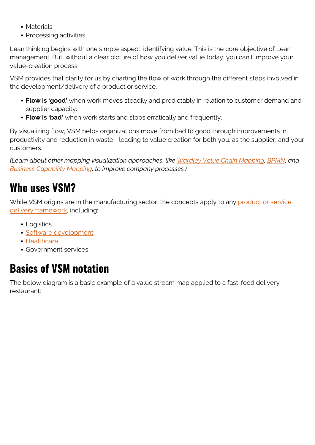- Materials
- Processing activities

Lean thinking begins with one simple aspect: identifying value. This is the core objective of Lean management. But, without a clear picture of how you deliver value today, you can't improve your value-creation process.

VSM provides that clarity for us by charting the flow of work through the different steps involved in the development/delivery of a product or service.

- **Flow is 'good'** when work moves steadily and predictably in relation to customer demand and supplier capacity.
- **Flow is 'bad'** when work starts and stops erratically and frequently.

By visualizing flow, VSM helps organizations move from bad to good through improvements in productivity and reduction in waste—leading to value creation for both you, as the supplier, and your customers.

*(Learn about other mapping visualization approaches, like [Wardley Value Chain Mapping](https://blogs.bmc.com/blogs/wardley-value-chain-mapping/), [BPMN,](https://blogs.bmc.com/blogs/bpmn-business-process-modeling-notation/) and [Business Capability Mapping](https://blogs.bmc.com/blogs/business-capability-mapping/), to improve company processes.)*

#### **Who uses VSM?**

While VSM origins are in the manufacturing sector, the concepts apply to any [product or service](https://blogs.bmc.com/blogs/itil-service-delivery/) [delivery framework,](https://blogs.bmc.com/blogs/itil-service-delivery/) including:

- Logistics
- [Software development](https://blogs.bmc.com/blogs/sdlc-software-development-lifecycle/)
- [Healthcare](https://blogs.bmc.com/blogs/transcendent-customer-experience-for-healthcare/)
- Government services

# **Basics of VSM notation**

The below diagram is a basic example of a value stream map applied to a fast-food delivery restaurant: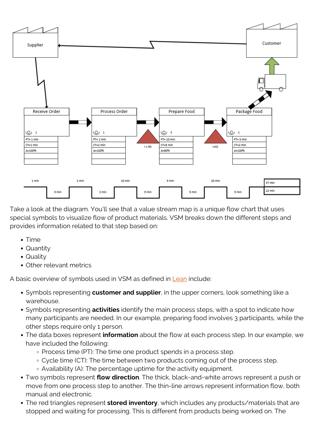

Take a look at the diagram. You'll see that a value stream map is a unique flow chart that uses special symbols to visualize flow of product materials. VSM breaks down the different steps and provides information related to that step based on:

- Time
- Quantity
- Quality
- Other relevant metrics

A basic overview of symbols used in VSM as defined in [Lean](https://www.allaboutlean.com/vsm-symbols/) include:

- Symbols representing **customer and supplier**, in the upper corners, look something like a warehouse.
- Symbols representing **activities** identify the main process steps, with a spot to indicate how many participants are needed. In our example, preparing food involves 3 participants, while the other steps require only 1 person.
- The data boxes represent **information** about the flow at each process step. In our example, we have included the following:
	- Process time (PT): The time one product spends in a process step.
	- Cycle time (CT): The time between two products coming out of the process step.
	- Availability (A): The percentage uptime for the activity equipment.
- Two symbols represent **flow direction**. The thick, black-and-white arrows represent a push or move from one process step to another. The thin-line arrows represent information flow, both manual and electronic.
- The red triangles represent **stored inventory**, which includes any products/materials that are stopped and waiting for processing. This is different from products being worked on. The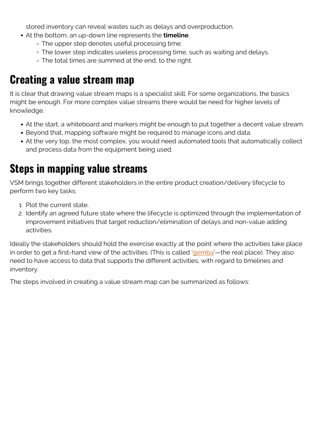stored inventory can reveal wastes such as delays and overproduction.

- At the bottom, an up-down line represents the **timeline**.
	- The upper step denotes useful processing time.
	- The lower step indicates useless processing time, such as waiting and delays.
	- The total times are summed at the end, to the right.

### **Creating a value stream map**

It is clear that drawing value stream maps is a specialist skill. For some organizations, the basics might be enough. For more complex value streams there would be need for higher levels of knowledge.

- At the start, a whiteboard and markers might be enough to put together a decent value stream.
- Beyond that, mapping software might be required to manage icons and data.
- At the very top, the most complex, you would need automated tools that automatically collect and process data from the equipment being used.

### **Steps in mapping value streams**

VSM brings together different stakeholders in the entire product creation/delivery lifecycle to perform two key tasks:

- 1. Plot the current state.
- 2. Identify an agreed future state where the lifecycle is optimized through the implementation of improvement initiatives that target reduction/elimination of delays and non-value adding activities.

Ideally the stakeholders should hold the exercise exactly at the point where the activities take place in order to get a first-hand view of the activities. (This is called '[gemba](https://insights.btoes.com/resources/what-is-going-to-gemba-lean-kaizen-definition-introduction)'—the real place). They also need to have access to data that supports the different activities, with regard to timelines and inventory.

The steps involved in creating a value stream map can be summarized as follows: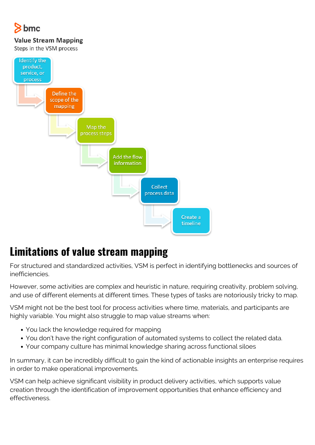# hmc

#### **Value Stream Mapping**

Steps in the VSM process



# **Limitations of value stream mapping**

For structured and standardized activities, VSM is perfect in identifying bottlenecks and sources of inefficiencies.

However, some activities are complex and heuristic in nature, requiring creativity, problem solving, and use of different elements at different times. These types of tasks are notoriously tricky to map.

VSM might not be the best tool for process activities where time, materials, and participants are highly variable. You might also struggle to map value streams when:

- You lack the knowledge required for mapping
- You don't have the right configuration of automated systems to collect the related data.
- Your company culture has minimal knowledge sharing across functional siloes

In summary, it can be incredibly difficult to gain the kind of actionable insights an enterprise requires in order to make operational improvements.

VSM can help achieve significant visibility in product delivery activities, which supports value creation through the identification of improvement opportunities that enhance efficiency and effectiveness.